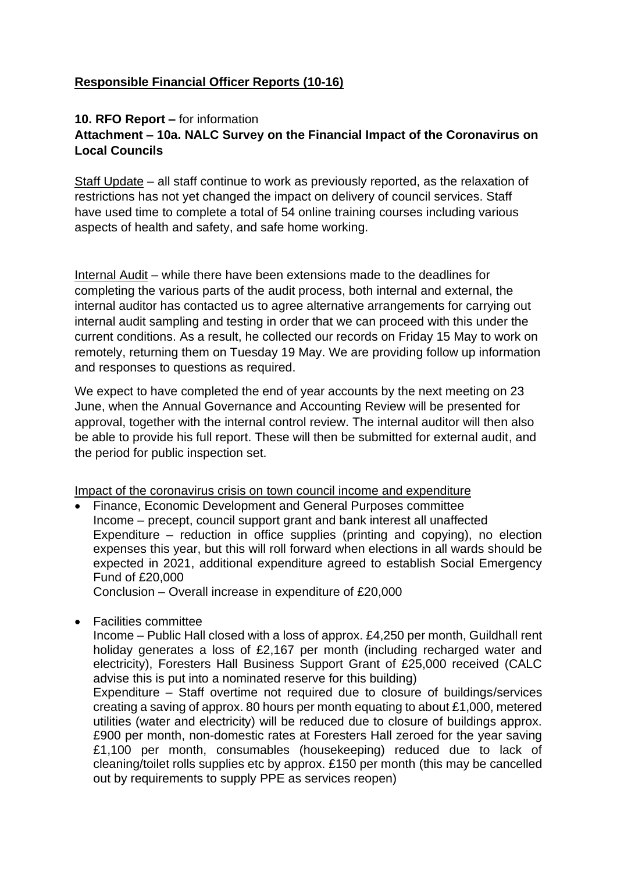## **Responsible Financial Officer Reports (10-16)**

#### **10. RFO Report –** for information

## **Attachment – 10a. NALC Survey on the Financial Impact of the Coronavirus on Local Councils**

Staff Update – all staff continue to work as previously reported, as the relaxation of restrictions has not yet changed the impact on delivery of council services. Staff have used time to complete a total of 54 online training courses including various aspects of health and safety, and safe home working.

Internal Audit – while there have been extensions made to the deadlines for completing the various parts of the audit process, both internal and external, the internal auditor has contacted us to agree alternative arrangements for carrying out internal audit sampling and testing in order that we can proceed with this under the current conditions. As a result, he collected our records on Friday 15 May to work on remotely, returning them on Tuesday 19 May. We are providing follow up information and responses to questions as required.

We expect to have completed the end of year accounts by the next meeting on 23 June, when the Annual Governance and Accounting Review will be presented for approval, together with the internal control review. The internal auditor will then also be able to provide his full report. These will then be submitted for external audit, and the period for public inspection set.

Impact of the coronavirus crisis on town council income and expenditure

• Finance, Economic Development and General Purposes committee Income – precept, council support grant and bank interest all unaffected Expenditure – reduction in office supplies (printing and copying), no election expenses this year, but this will roll forward when elections in all wards should be expected in 2021, additional expenditure agreed to establish Social Emergency Fund of £20,000

Conclusion – Overall increase in expenditure of £20,000

• Facilities committee

Income – Public Hall closed with a loss of approx. £4,250 per month, Guildhall rent holiday generates a loss of £2,167 per month (including recharged water and electricity), Foresters Hall Business Support Grant of £25,000 received (CALC advise this is put into a nominated reserve for this building)

Expenditure – Staff overtime not required due to closure of buildings/services creating a saving of approx. 80 hours per month equating to about £1,000, metered utilities (water and electricity) will be reduced due to closure of buildings approx. £900 per month, non-domestic rates at Foresters Hall zeroed for the year saving £1,100 per month, consumables (housekeeping) reduced due to lack of cleaning/toilet rolls supplies etc by approx. £150 per month (this may be cancelled out by requirements to supply PPE as services reopen)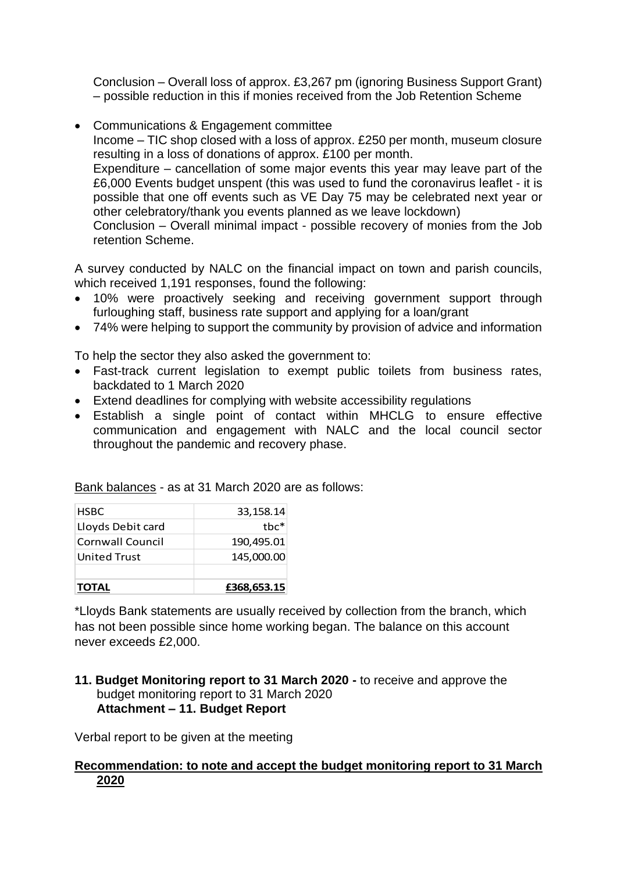Conclusion – Overall loss of approx. £3,267 pm (ignoring Business Support Grant) – possible reduction in this if monies received from the Job Retention Scheme

• Communications & Engagement committee

Income – TIC shop closed with a loss of approx. £250 per month, museum closure resulting in a loss of donations of approx. £100 per month.

Expenditure – cancellation of some major events this year may leave part of the £6,000 Events budget unspent (this was used to fund the coronavirus leaflet - it is possible that one off events such as VE Day 75 may be celebrated next year or other celebratory/thank you events planned as we leave lockdown)

Conclusion – Overall minimal impact - possible recovery of monies from the Job retention Scheme.

A survey conducted by NALC on the financial impact on town and parish councils, which received 1,191 responses, found the following:

- 10% were proactively seeking and receiving government support through furloughing staff, business rate support and applying for a loan/grant
- 74% were helping to support the community by provision of advice and information

To help the sector they also asked the government to:

- Fast-track current legislation to exempt public toilets from business rates, backdated to 1 March 2020
- Extend deadlines for complying with website accessibility regulations
- Establish a single point of contact within MHCLG to ensure effective communication and engagement with NALC and the local council sector throughout the pandemic and recovery phase.

| <b>TOTAL</b>        | £368,653.15 |
|---------------------|-------------|
| <b>United Trust</b> | 145,000.00  |
| Cornwall Council    | 190,495.01  |
| Lloyds Debit card   | $the*$      |
| <b>HSBC</b>         | 33,158.14   |

Bank balances - as at 31 March 2020 are as follows:

\*Lloyds Bank statements are usually received by collection from the branch, which has not been possible since home working began. The balance on this account never exceeds £2,000.

#### **11. Budget Monitoring report to 31 March 2020 -** to receive and approve the budget monitoring report to 31 March 2020 **Attachment – 11. Budget Report**

Verbal report to be given at the meeting

#### **Recommendation: to note and accept the budget monitoring report to 31 March 2020**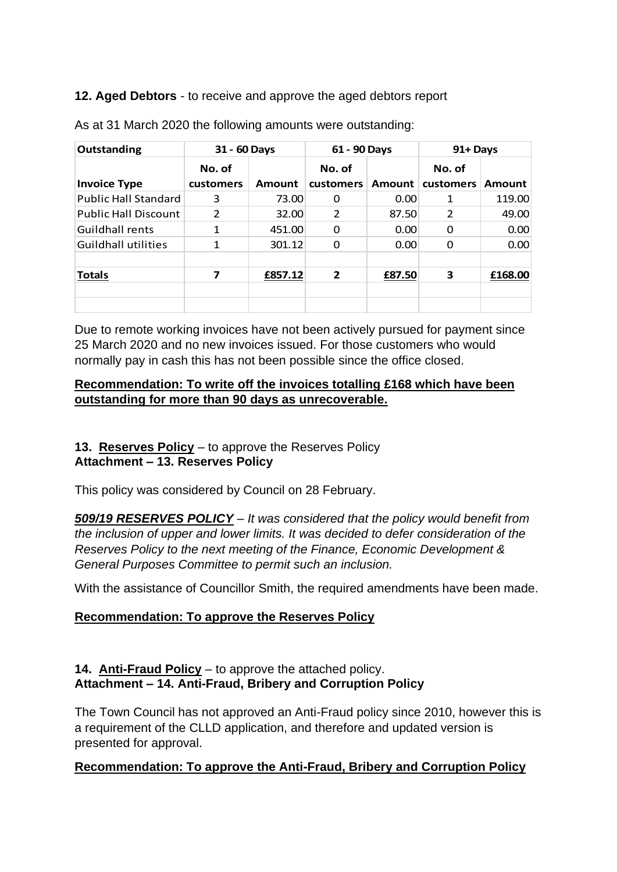## **12. Aged Debtors** - to receive and approve the aged debtors report

| Outstanding                 | 31 - 60 Days        |         | 61 - 90 Days               |        | 91+ Days            |         |
|-----------------------------|---------------------|---------|----------------------------|--------|---------------------|---------|
| <b>Invoice Type</b>         | No. of<br>customers | Amount  | No. of<br><b>customers</b> | Amount | No. of<br>customers | Amount  |
| <b>Public Hall Standard</b> | 3                   | 73.00   | 0                          | 0.00   | 1                   | 119.00  |
| <b>Public Hall Discount</b> | $\mathcal{P}$       | 32.00   | $\overline{2}$             | 87.50  | $\mathcal{P}$       | 49.00   |
| <b>Guildhall rents</b>      | 1                   | 451.00  | 0                          | 0.00   | 0                   | 0.00    |
| Guildhall utilities         | 1                   | 301.12  | 0                          | 0.00   | 0                   | 0.00    |
| <b>Totals</b>               | 7                   | £857.12 | $\overline{2}$             | £87.50 | 3                   | £168.00 |
|                             |                     |         |                            |        |                     |         |

As at 31 March 2020 the following amounts were outstanding:

Due to remote working invoices have not been actively pursued for payment since 25 March 2020 and no new invoices issued. For those customers who would normally pay in cash this has not been possible since the office closed.

### **Recommendation: To write off the invoices totalling £168 which have been outstanding for more than 90 days as unrecoverable.**

## **13. Reserves Policy** – to approve the Reserves Policy **Attachment – 13. Reserves Policy**

This policy was considered by Council on 28 February.

*509/19 RESERVES POLICY – It was considered that the policy would benefit from the inclusion of upper and lower limits. It was decided to defer consideration of the Reserves Policy to the next meeting of the Finance, Economic Development & General Purposes Committee to permit such an inclusion.* 

With the assistance of Councillor Smith, the required amendments have been made.

# **Recommendation: To approve the Reserves Policy**

## **14. Anti-Fraud Policy** – to approve the attached policy. **Attachment – 14. Anti-Fraud, Bribery and Corruption Policy**

The Town Council has not approved an Anti-Fraud policy since 2010, however this is a requirement of the CLLD application, and therefore and updated version is presented for approval.

# **Recommendation: To approve the Anti-Fraud, Bribery and Corruption Policy**